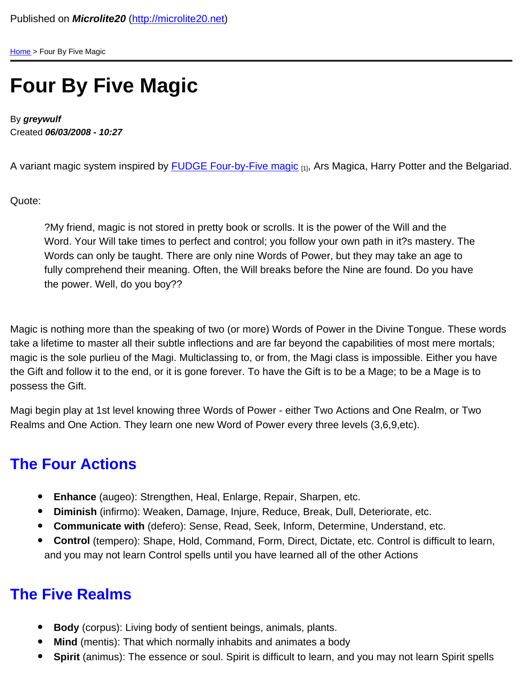[Home](/) > Four By Five Magic

## Four By Five Magic

By greywulf Created 06/03/2008 - 10:27

A variant magic system inspired by **[FUDGE Four-by-Five magic](http://www.panix.com/~sos/rpg/4by5.html) [1]**, Ars Magica, Harry Potter and the Belgariad.

Quote:

?My friend, magic is not stored in pretty book or scrolls. It is the power of the Will and the Word. Your Will take times to perfect and control; you follow your own path in it?s mastery. The Words can only be taught. There are only nine Words of Power, but they may take an age to fully comprehend their meaning. Often, the Will breaks before the Nine are found. Do you have the power. Well, do you boy??

Magic is nothing more than the speaking of two (or more) Words of Power in the Divine Tongue. These words take a lifetime to master all their subtle inflections and are far beyond the capabilities of most mere mortals; magic is the sole purlieu of the Magi. Multiclassing to, or from, the Magi class is impossible. Either you have the Gift and follow it to the end, or it is gone forever. To have the Gift is to be a Mage; to be a Mage is to possess the Gift.

Magi begin play at 1st level knowing three Words of Power - either Two Actions and One Realm, or Two Realms and One Action. They learn one new Word of Power every three levels (3,6,9,etc).

## The Four Actions

- Enhance (augeo): Strengthen, Heal, Enlarge, Repair, Sharpen, etc.
- Diminish (infirmo): Weaken, Damage, Injure, Reduce, Break, Dull, Deteriorate, etc.
- Communicate with (defero): Sense, Read, Seek, Inform, Determine, Understand, etc.
- Control (tempero): Shape, Hold, Command, Form, Direct, Dictate, etc. Control is difficult to learn, and you may not learn Control spells until you have learned all of the other Actions

## The Five Realms

- Body (corpus): Living body of sentient beings, animals, plants.
- Mind (mentis): That which normally inhabits and animates a body
- $\bullet$ Spirit (animus): The essence or soul. Spirit is difficult to learn, and you may not learn Spirit spells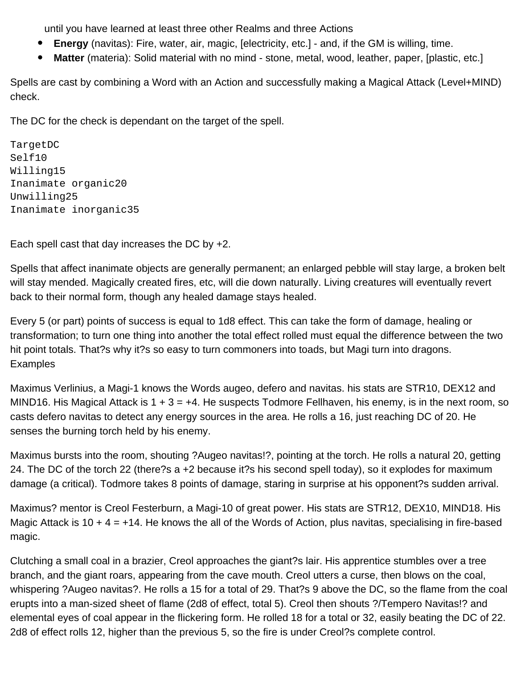until you have learned at least three other Realms and three Actions

- **Energy** (navitas): Fire, water, air, magic, [electricity, etc.] and, if the GM is willing, time.
- **Matter** (materia): Solid material with no mind stone, metal, wood, leather, paper, [plastic, etc.]  $\bullet$

Spells are cast by combining a Word with an Action and successfully making a Magical Attack (Level+MIND) check.

The DC for the check is dependant on the target of the spell.

```
Target DC
Self 10
Willing 15
Inanimate organic	20
Unwilling 25
Inanimate inorganic	35
```
Each spell cast that day increases the DC by +2.

Spells that affect inanimate objects are generally permanent; an enlarged pebble will stay large, a broken belt will stay mended. Magically created fires, etc, will die down naturally. Living creatures will eventually revert back to their normal form, though any healed damage stays healed.

Every 5 (or part) points of success is equal to 1d8 effect. This can take the form of damage, healing or transformation; to turn one thing into another the total effect rolled must equal the difference between the two hit point totals. That?s why it?s so easy to turn commoners into toads, but Magi turn into dragons. **Examples** 

Maximus Verlinius, a Magi-1 knows the Words augeo, defero and navitas. his stats are STR10, DEX12 and MIND16. His Magical Attack is  $1 + 3 = +4$ . He suspects Todmore Fellhaven, his enemy, is in the next room, so casts defero navitas to detect any energy sources in the area. He rolls a 16, just reaching DC of 20. He senses the burning torch held by his enemy.

Maximus bursts into the room, shouting ?Augeo navitas!?, pointing at the torch. He rolls a natural 20, getting 24. The DC of the torch 22 (there?s a +2 because it?s his second spell today), so it explodes for maximum damage (a critical). Todmore takes 8 points of damage, staring in surprise at his opponent?s sudden arrival.

Maximus? mentor is Creol Festerburn, a Magi-10 of great power. His stats are STR12, DEX10, MIND18. His Magic Attack is 10 + 4 =  $+14$ . He knows the all of the Words of Action, plus navitas, specialising in fire-based magic.

Clutching a small coal in a brazier, Creol approaches the giant?s lair. His apprentice stumbles over a tree branch, and the giant roars, appearing from the cave mouth. Creol utters a curse, then blows on the coal, whispering ?Augeo navitas?. He rolls a 15 for a total of 29. That?s 9 above the DC, so the flame from the coal erupts into a man-sized sheet of flame (2d8 of effect, total 5). Creol then shouts ?/Tempero Navitas!? and elemental eyes of coal appear in the flickering form. He rolled 18 for a total or 32, easily beating the DC of 22. 2d8 of effect rolls 12, higher than the previous 5, so the fire is under Creol?s complete control.